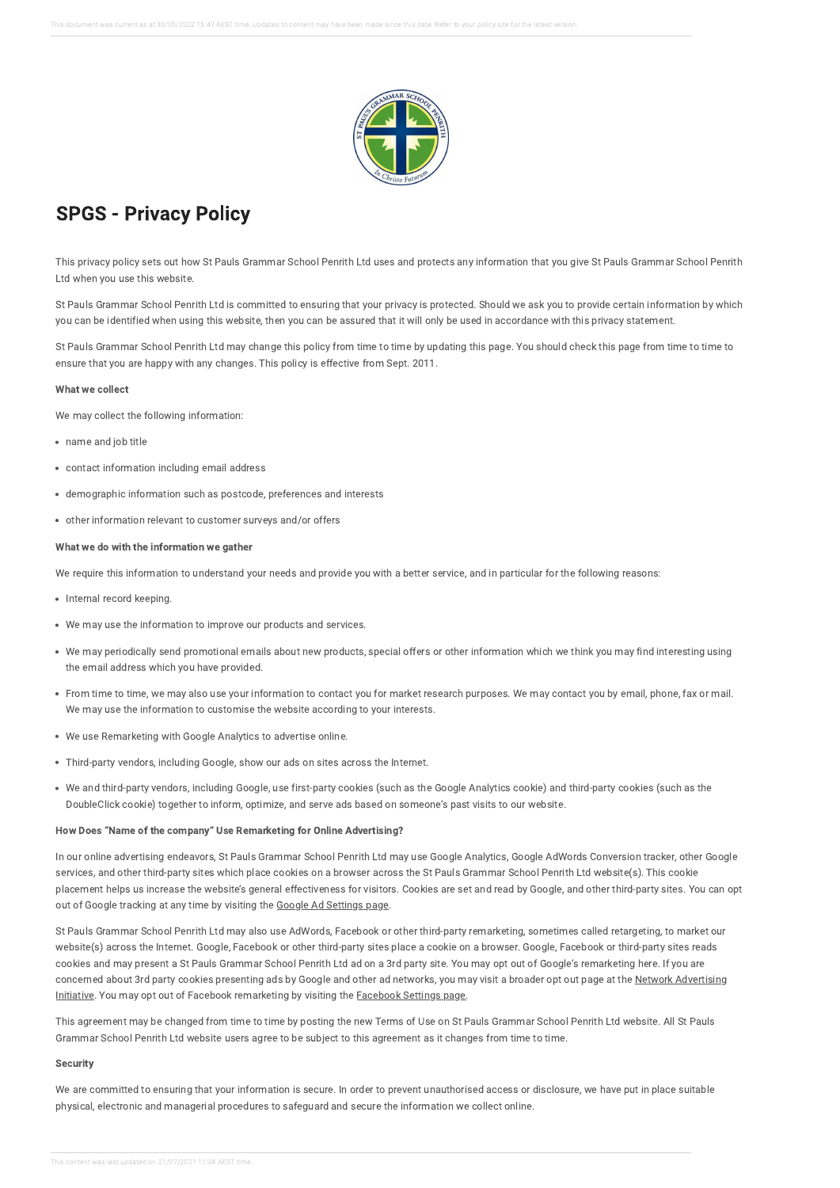

# **SPGS - Privacy Policy**

This privacy policy sets out how St Pauls Grammar School Penrith Ltd uses and protects any information that you give St Pauls Grammar School Penrith Ltd when you use this website.

St Pauls Grammar School Penrith Ltd is committed to ensuring that your privacy is protected. Should we ask you to provide certain information by which you can be identified when using this website, then you can be assured that it will only be used in accordance with this privacy statement.

St Pauls Grammar School Penrith Ltd may change this policy from time to time by updating this page. You should check this page from time to time to ensure that you are happy with any changes. This policy is effective from Sept. 2011.

# What we collect

We may collect the following information:

- name and job title
- contact information including email address
- demographic information such as postcode, preferences and interests
- other information relevant to customer surveys and/or offers

# What we do with the information we gather

We require this information to understand your needs and provide you with a better service, and in particular for the following reasons:

- · Internal record keeping.
- We may use the information to improve our products and services.
- We may periodically send promotional emails about new products, special offers or other information which we think you may find interesting using the email address which you have provided.
- From time to time, we may also use your information to contact you for market research purposes. We may contact you by email, phone, fax or mail. We may use the information to customise the website according to your interests.
- We use Remarketing with Google Analytics to advertise online.
- Third-party vendors, including Google, show our ads on sites across the Internet.
- We and third-party vendors, including Google, use first-party cookies (such as the Google Analytics cookie) and third-party cookies (such as the DoubleClick cookie) together to inform, optimize, and serve ads based on someone's past visits to our website.

## How Does "Name of the company" Use Remarketing for Online Advertising?

In our online advertising endeavors, St Pauls Grammar School Penrith Ltd may use Google Analytics, Google AdWords Conversion tracker, other Google services, and other third-party sites which place cookies on a browser across the St Pauls Grammar School Penrith Ltd website(s). This cookie placement helps us increase the website's general effectiveness for visitors. Cookies are set and read by Google, and other third-party sites. You can opt out of Google tracking at any time by visiting the Google Ad Settings page.

St Pauls Grammar School Penrith Ltd may also use AdWords, Facebook or other third-party remarketing, sometimes called retargeting, to market our website(s) across the Internet. Google, Facebook or other third-party sites place a cookie on a browser. Google, Facebook or third-party sites reads cookies and may present a St Pauls Grammar School Penrith Ltd ad on a 3rd party site. You may opt out of Google's remarketing here. If you are concerned about 3rd party cookies presenting ads by Google and other ad networks, you may visit a broader opt out page at the Network Advertising Initiative. You may opt out of Facebook remarketing by visiting the Facebook Settings page.

This agreement may be changed from time to time by posting the new Terms of Use on St Pauls Grammar School Penrith Ltd website. All St Pauls Grammar School Penrith Ltd website users agree to be subject to this agreement as it changes from time to time.

## Security

We are committed to ensuring that your information is secure. In order to prevent unauthorised access or disclosure, we have put in place suitable physical, electronic and managerial procedures to safeguard and secure the information we collect online.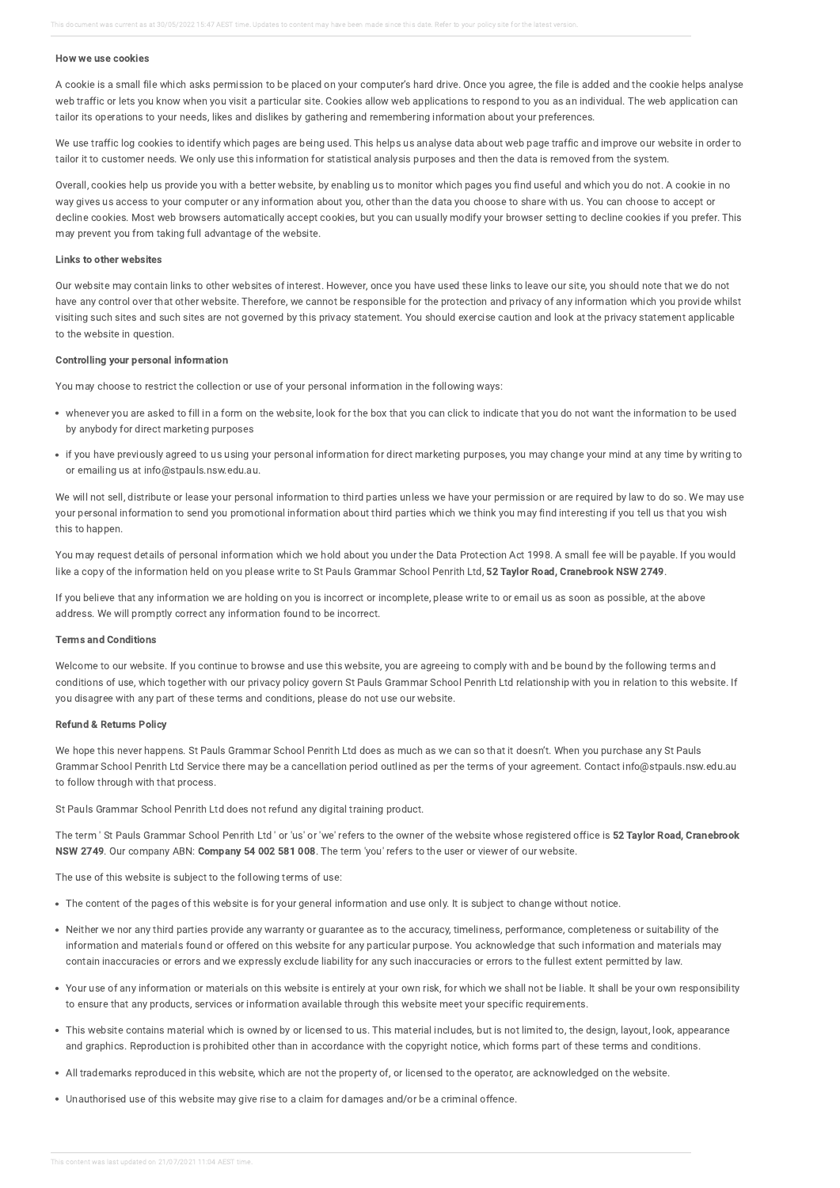#### How we use cookies

A cookie is a small file which asks permission to be placed on your computer's hard drive. Once you agree, the file is added and the cookie helps analyse web traffic or lets you know when you visit a particular site. Cookies allow web applications to respond to you as an individual. The web application can tailor its operations to your needs, likes and dislikes by gathering and remembering information about your preferences.

We use traffic log cookies to identify which pages are being used. This helps us analyse data about web page traffic and improve our website in order to tailor it to customer needs. We only use this information for statistical analysis purposes and then the data is removed from the system.

Overall, cookies help us provide you with a better website, by enabling us to monitor which pages you find useful and which you do not. A cookie in no way gives us access to your computer or any information about you, other than the data you choose to share with us. You can choose to accept or decline cookies. Most web browsers automatically accept cookies, but you can usually modify your browser setting to decline cookies if you prefer. This may prevent you from taking full advantage of the website.

#### Links to other websites

Our website may contain links to other websites of interest. However, once you have used these links to leave our site, you should note that we do not have any control over that other website. Therefore, we cannot be responsible for the protection and privacy of any information which you provide whilst visiting such sites and such sites are not governed by this privacy statement. You should exercise caution and look at the privacy statement applicable to the website in question.

## **Controlling your personal information**

You may choose to restrict the collection or use of your personal information in the following ways:

- whenever you are asked to fill in a form on the website, look for the box that you can click to indicate that you do not want the information to be used by anybody for direct marketing purposes
- if you have previously agreed to us using your personal information for direct marketing purposes, you may change your mind at any time by writing to or emailing us at info@stpauls.nsw.edu.au.

We will not sell, distribute or lease your personal information to third parties unless we have your permission or are required by law to do so. We may use your personal information to send you promotional information about third parties which we think you may find interesting if you tell us that you wish this to happen.

You may request details of personal information which we hold about you under the Data Protection Act 1998. A small fee will be payable. If you would like a copy of the information held on you please write to St Pauls Grammar School Penrith Ltd, 52 Taylor Road, Cranebrook NSW 2749.

If you believe that any information we are holding on you is incorrect or incomplete, please write to or email us as soon as possible, at the above address. We will promptly correct any information found to be incorrect.

## **Terms and Conditions**

Welcome to our website. If you continue to browse and use this website, you are agreeing to comply with and be bound by the following terms and conditions of use, which together with our privacy policy govern St Pauls Grammar School Penrith Ltd relationship with you in relation to this website. If you disagree with any part of these terms and conditions, please do not use our website.

#### **Refund & Returns Policy**

We hope this never happens. St Pauls Grammar School Penrith Ltd does as much as we can so that it doesn't. When you purchase any St Pauls Grammar School Penrith Ltd Service there may be a cancellation period outlined as per the terms of your agreement. Contact info@stpauls.nsw.edu.au to follow through with that process.

St Pauls Grammar School Penrith Ltd does not refund any digital training product.

The term 'St Pauls Grammar School Penrith Ltd ' or 'us' or 'we' refers to the owner of the website whose registered office is 52 Taylor Road, Cranebrook NSW 2749. Our company ABN: Company 54 002 581 008. The term 'you' refers to the user or viewer of our website.

The use of this website is subject to the following terms of use:

- . The content of the pages of this website is for your general information and use only. It is subject to change without notice.
- . Neither we nor any third parties provide any warranty or guarantee as to the accuracy, timeliness, performance, completeness or suitability of the information and materials found or offered on this website for any particular purpose. You acknowledge that such information and materials may contain inaccuracies or errors and we expressly exclude liability for any such inaccuracies or errors to the fullest extent permitted by law.
- Your use of any information or materials on this website is entirely at your own risk, for which we shall not be liable. It shall be your own responsibility to ensure that any products, services or information available through this website meet your specific requirements.
- This website contains material which is owned by or licensed to us. This material includes, but is not limited to, the design, layout, look, appearance and graphics. Reproduction is prohibited other than in accordance with the copyright notice, which forms part of these terms and conditions.
- . All trademarks reproduced in this website, which are not the property of, or licensed to the operator, are acknowledged on the website.
- Unauthorised use of this website may give rise to a claim for damages and/or be a criminal offence.